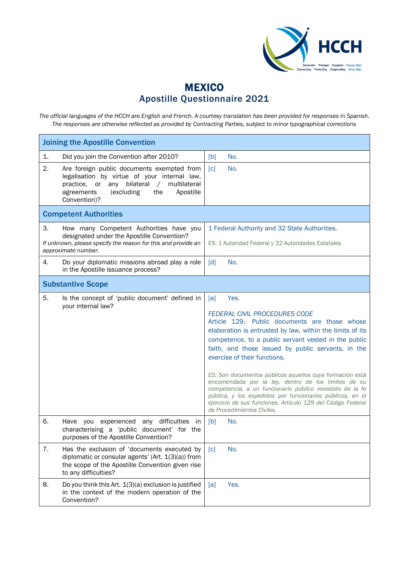

## **MEXICO** Apostille Questionnaire 2021

*The official languages of the HCCH are English and French. A courtesy translation has been provided for responses in Spanish. The responses are otherwise reflected as provided by Contracting Parties, subject to minor typographical corrections*

| <b>Joining the Apostille Convention</b>                                                                                                                                                                                               |                                                                                                                                                                                                                                                                                                                                                                                                                                                                                                                                                                                                                                                           |
|---------------------------------------------------------------------------------------------------------------------------------------------------------------------------------------------------------------------------------------|-----------------------------------------------------------------------------------------------------------------------------------------------------------------------------------------------------------------------------------------------------------------------------------------------------------------------------------------------------------------------------------------------------------------------------------------------------------------------------------------------------------------------------------------------------------------------------------------------------------------------------------------------------------|
| 1.<br>Did you join the Convention after 2010?                                                                                                                                                                                         | No.<br>[b]                                                                                                                                                                                                                                                                                                                                                                                                                                                                                                                                                                                                                                                |
| 2.<br>Are foreign public documents exempted from<br>legalisation by virtue of your internal law,<br>multilateral<br>bilateral<br>practice.<br>or<br>any<br>$\sqrt{2}$<br>agreements<br>(excluding<br>the<br>Apostille<br>Convention)? | $\lceil c \rceil$<br>No.                                                                                                                                                                                                                                                                                                                                                                                                                                                                                                                                                                                                                                  |
| <b>Competent Authorities</b>                                                                                                                                                                                                          |                                                                                                                                                                                                                                                                                                                                                                                                                                                                                                                                                                                                                                                           |
| 3.<br>How many Competent Authorities have you<br>designated under the Apostille Convention?<br>If unknown, please specify the reason for this and provide an<br>approximate number.                                                   | 1 Federal Authority and 32 State Authorities.<br>ES: 1 Autoridad Federal y 32 Autoridades Estatales                                                                                                                                                                                                                                                                                                                                                                                                                                                                                                                                                       |
| Do your diplomatic missions abroad play a role<br>4.<br>in the Apostille issuance process?                                                                                                                                            | $\lceil d \rceil$<br>No.                                                                                                                                                                                                                                                                                                                                                                                                                                                                                                                                                                                                                                  |
| <b>Substantive Scope</b>                                                                                                                                                                                                              |                                                                                                                                                                                                                                                                                                                                                                                                                                                                                                                                                                                                                                                           |
| 5.<br>Is the concept of 'public document' defined in<br>your internal law?                                                                                                                                                            | [a]<br>Yes.<br><b>FEDERAL CIVIL PROCEDURES CODE</b><br>Article 129.- Public documents are those whose<br>elaboration is entrusted by law, within the limits of its<br>competence, to a public servant vested in the public<br>faith, and those issued by public servants, in the<br>exercise of their functions.<br>ES: Son documentos públicos aquellos cuya formación está<br>encomendada por la ley, dentro de los límites de su<br>competencia, a un funcionario público revestido de la fe<br>pública, y los expedidos por funcionarios públicos, en el<br>ejercicio de sus funciones, Artículo 129 del Código Federal<br>de Procedimientos Civiles. |
| 6.<br>Have you experienced any difficulties in<br>characterising a 'public document' for the<br>purposes of the Apostille Convention?                                                                                                 | [b]<br>No.                                                                                                                                                                                                                                                                                                                                                                                                                                                                                                                                                                                                                                                |
| 7.<br>Has the exclusion of 'documents executed by<br>diplomatic or consular agents' (Art. 1(3)(a)) from<br>the scope of the Apostille Convention given rise<br>to any difficulties?                                                   | No.<br>[c]                                                                                                                                                                                                                                                                                                                                                                                                                                                                                                                                                                                                                                                |
| 8.<br>Do you think this Art. 1(3)(a) exclusion is justified<br>in the context of the modern operation of the<br>Convention?                                                                                                           | Yes.<br>[a]                                                                                                                                                                                                                                                                                                                                                                                                                                                                                                                                                                                                                                               |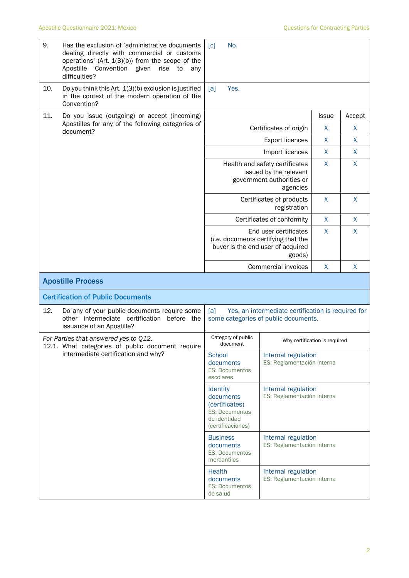| 9.  | Has the exclusion of 'administrative documents<br>dealing directly with commercial or customs<br>operations' (Art. $1(3)(b)$ ) from the scope of the<br>Apostille<br>Convention given<br>rise<br>to<br>any<br>difficulties? | No.<br>$\lceil c \rceil$                                                                                         |                                                   |        |   |  |
|-----|-----------------------------------------------------------------------------------------------------------------------------------------------------------------------------------------------------------------------------|------------------------------------------------------------------------------------------------------------------|---------------------------------------------------|--------|---|--|
| 10. | Do you think this Art. 1(3)(b) exclusion is justified<br>in the context of the modern operation of the<br>Convention?                                                                                                       | Yes.<br>[a]                                                                                                      |                                                   |        |   |  |
| 11. | Do you issue (outgoing) or accept (incoming)                                                                                                                                                                                |                                                                                                                  | <b>Issue</b>                                      | Accept |   |  |
|     | Apostilles for any of the following categories of<br>document?                                                                                                                                                              | Certificates of origin                                                                                           | X                                                 | X      |   |  |
|     |                                                                                                                                                                                                                             |                                                                                                                  | X                                                 | X      |   |  |
|     |                                                                                                                                                                                                                             |                                                                                                                  | Import licences                                   | X      | X |  |
|     |                                                                                                                                                                                                                             | Health and safety certificates<br>issued by the relevant<br>government authorities or                            | X                                                 | X      |   |  |
|     |                                                                                                                                                                                                                             |                                                                                                                  | Certificates of products<br>registration          | X      | X |  |
|     |                                                                                                                                                                                                                             |                                                                                                                  | Certificates of conformity                        | X      | X |  |
|     |                                                                                                                                                                                                                             | X<br>End user certificates<br>(i.e. documents certifying that the<br>buyer is the end user of acquired<br>goods) |                                                   |        | X |  |
|     |                                                                                                                                                                                                                             |                                                                                                                  | Commercial invoices                               | X      | X |  |
|     | <b>Apostille Process</b>                                                                                                                                                                                                    |                                                                                                                  |                                                   |        |   |  |
|     | <b>Certification of Public Documents</b>                                                                                                                                                                                    |                                                                                                                  |                                                   |        |   |  |
| 12. | Do any of your public documents require some<br>other intermediate certification before the<br>issuance of an Apostille?                                                                                                    | Yes, an intermediate certification is required for<br>[a]<br>some categories of public documents.                |                                                   |        |   |  |
|     | For Parties that answered yes to Q12.                                                                                                                                                                                       | Category of public<br>document                                                                                   | Why certification is required                     |        |   |  |
|     | 12.1. What categories of public document require<br>intermediate certification and why?                                                                                                                                     | School<br>documents<br><b>ES: Documentos</b><br>escolares                                                        | Internal regulation<br>ES: Reglamentación interna |        |   |  |
|     |                                                                                                                                                                                                                             | <b>Identity</b><br>documents<br>(certificates)<br><b>ES: Documentos</b><br>de identidad<br>(certificaciones)     | Internal regulation<br>ES: Reglamentación interna |        |   |  |
|     |                                                                                                                                                                                                                             | <b>Business</b><br>documents<br><b>ES: Documentos</b><br>mercantiles                                             | Internal regulation<br>ES: Reglamentación interna |        |   |  |
|     |                                                                                                                                                                                                                             | <b>Health</b><br>documents<br><b>ES: Documentos</b><br>de salud                                                  | Internal regulation<br>ES: Reglamentación interna |        |   |  |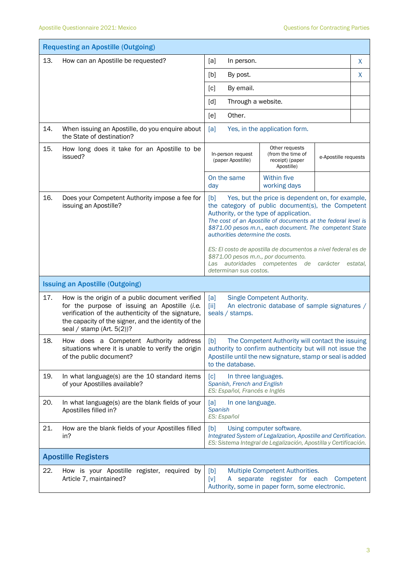|                                        | <b>Requesting an Apostille (Outgoing)</b>                                                                                                                                                                                                     |                                                                                                                                                                                                      |                                                                                                                                                                                                                                                                                                                                                                               |                      |          |  |
|----------------------------------------|-----------------------------------------------------------------------------------------------------------------------------------------------------------------------------------------------------------------------------------------------|------------------------------------------------------------------------------------------------------------------------------------------------------------------------------------------------------|-------------------------------------------------------------------------------------------------------------------------------------------------------------------------------------------------------------------------------------------------------------------------------------------------------------------------------------------------------------------------------|----------------------|----------|--|
| 13.                                    | How can an Apostille be requested?                                                                                                                                                                                                            | In person.<br>[a]                                                                                                                                                                                    |                                                                                                                                                                                                                                                                                                                                                                               |                      | X        |  |
|                                        |                                                                                                                                                                                                                                               | [b]<br>By post.                                                                                                                                                                                      |                                                                                                                                                                                                                                                                                                                                                                               |                      | X        |  |
|                                        |                                                                                                                                                                                                                                               | By email.<br>[c]                                                                                                                                                                                     |                                                                                                                                                                                                                                                                                                                                                                               |                      |          |  |
|                                        |                                                                                                                                                                                                                                               | Through a website.<br>[d]                                                                                                                                                                            |                                                                                                                                                                                                                                                                                                                                                                               |                      |          |  |
|                                        |                                                                                                                                                                                                                                               | Other.<br>[e]                                                                                                                                                                                        |                                                                                                                                                                                                                                                                                                                                                                               |                      |          |  |
| 14.                                    | When issuing an Apostille, do you enquire about<br>the State of destination?                                                                                                                                                                  | [a]                                                                                                                                                                                                  | Yes, in the application form.                                                                                                                                                                                                                                                                                                                                                 |                      |          |  |
| 15.                                    | How long does it take for an Apostille to be<br>issued?                                                                                                                                                                                       | Other requests<br>In-person request<br>(from the time of<br>(paper Apostille)<br>receipt) (paper<br>Apostille)                                                                                       |                                                                                                                                                                                                                                                                                                                                                                               | e-Apostille requests |          |  |
|                                        |                                                                                                                                                                                                                                               | On the same<br>day                                                                                                                                                                                   | <b>Within five</b><br>working days                                                                                                                                                                                                                                                                                                                                            |                      |          |  |
| 16.                                    | Does your Competent Authority impose a fee for<br>issuing an Apostille?                                                                                                                                                                       | [b]<br>authorities determine the costs.<br>\$871.00 pesos m.n., por documento.<br>Las<br>determinan sus costos.                                                                                      | Yes, but the price is dependent on, for example,<br>the category of public document(s), the Competent<br>Authority, or the type of application.<br>The cost of an Apostille of documents at the federal level is<br>\$871.00 pesos m.n., each document. The competent State<br>ES: El costo de apostilla de documentos a nivel federal es de<br>autoridades competentes<br>de | carácter             | estatal, |  |
| <b>Issuing an Apostille (Outgoing)</b> |                                                                                                                                                                                                                                               |                                                                                                                                                                                                      |                                                                                                                                                                                                                                                                                                                                                                               |                      |          |  |
| 17.                                    | How is the origin of a public document verified<br>for the purpose of issuing an Apostille (i.e.<br>verification of the authenticity of the signature,<br>the capacity of the signer, and the identity of the<br>seal / stamp (Art. $5(2)$ )? | [a]<br>[ii]<br>seals / stamps.                                                                                                                                                                       | Single Competent Authority.<br>An electronic database of sample signatures /                                                                                                                                                                                                                                                                                                  |                      |          |  |
| 18.                                    | How does a Competent Authority address<br>situations where it is unable to verify the origin<br>of the public document?                                                                                                                       | The Competent Authority will contact the issuing<br>[b]<br>authority to confirm authenticity but will not issue the<br>Apostille until the new signature, stamp or seal is added<br>to the database. |                                                                                                                                                                                                                                                                                                                                                                               |                      |          |  |
| 19.                                    | In what language(s) are the 10 standard items<br>of your Apostilles available?                                                                                                                                                                | $\lceil c \rceil$<br>In three languages.<br>Spanish, French and English<br>ES: Español, Francés e Inglés                                                                                             |                                                                                                                                                                                                                                                                                                                                                                               |                      |          |  |
| 20.                                    | In what language(s) are the blank fields of your<br>Apostilles filled in?                                                                                                                                                                     | [a]<br>In one language.<br>Spanish<br>ES: Español                                                                                                                                                    |                                                                                                                                                                                                                                                                                                                                                                               |                      |          |  |
| 21.                                    | How are the blank fields of your Apostilles filled<br>in?                                                                                                                                                                                     | [b]                                                                                                                                                                                                  | Using computer software.<br>Integrated System of Legalization, Apostille and Certification.<br>ES: Sistema Integral de Legalización, Apostilla y Certificación.                                                                                                                                                                                                               |                      |          |  |
|                                        | <b>Apostille Registers</b>                                                                                                                                                                                                                    |                                                                                                                                                                                                      |                                                                                                                                                                                                                                                                                                                                                                               |                      |          |  |
| 22.                                    | How is your Apostille register, required by<br>Article 7, maintained?                                                                                                                                                                         | [b]<br>[V]<br>A                                                                                                                                                                                      | Multiple Competent Authorities.<br>separate register for each Competent<br>Authority, some in paper form, some electronic.                                                                                                                                                                                                                                                    |                      |          |  |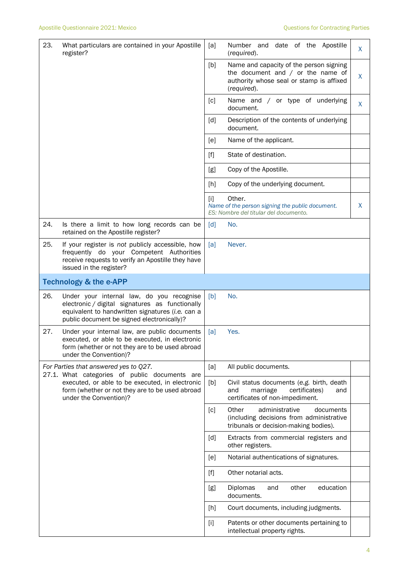| 23. | What particulars are contained in your Apostille<br>register?                                                                                                                                  | [a]               | Number and date of the Apostille<br>(required).                                                                                           | X. |
|-----|------------------------------------------------------------------------------------------------------------------------------------------------------------------------------------------------|-------------------|-------------------------------------------------------------------------------------------------------------------------------------------|----|
|     |                                                                                                                                                                                                | [b]               | Name and capacity of the person signing<br>the document and $/$ or the name of<br>authority whose seal or stamp is affixed<br>(required). | X  |
|     |                                                                                                                                                                                                | [c]               | Name and / or type of underlying<br>document.                                                                                             | X  |
|     |                                                                                                                                                                                                | $\lceil d \rceil$ | Description of the contents of underlying<br>document.                                                                                    |    |
|     |                                                                                                                                                                                                | [e]               | Name of the applicant.                                                                                                                    |    |
|     |                                                                                                                                                                                                | $[f]$             | State of destination.                                                                                                                     |    |
|     |                                                                                                                                                                                                | [g]               | Copy of the Apostille.                                                                                                                    |    |
|     |                                                                                                                                                                                                | [h]               | Copy of the underlying document.                                                                                                          |    |
|     |                                                                                                                                                                                                | [1]               | Other.<br>Name of the person signing the public document.<br>ES: Nombre del titular del documento.                                        | X  |
| 24. | Is there a limit to how long records can be<br>retained on the Apostille register?                                                                                                             | [d]               | No.                                                                                                                                       |    |
| 25. | If your register is not publicly accessible, how<br>frequently do your Competent Authorities<br>receive requests to verify an Apostille they have<br>issued in the register?                   | [a]               | Never.                                                                                                                                    |    |
|     | <b>Technology &amp; the e-APP</b>                                                                                                                                                              |                   |                                                                                                                                           |    |
| 26. | Under your internal law, do you recognise<br>electronic / digital signatures as functionally<br>equivalent to handwritten signatures (i.e. can a<br>public document be signed electronically)? | [b]               | No.                                                                                                                                       |    |
| 27. | Under your internal law, are public documents<br>executed, or able to be executed, in electronic<br>form (whether or not they are to be used abroad<br>under the Convention)?                  | [a]               | Yes.                                                                                                                                      |    |
|     | For Parties that answered yes to Q27.<br>27.1. What categories of public documents are                                                                                                         |                   | All public documents.                                                                                                                     |    |
|     | executed, or able to be executed, in electronic<br>form (whether or not they are to be used abroad<br>under the Convention)?                                                                   | [b]               | Civil status documents (e.g. birth, death<br>marriage<br>certificates)<br>and<br>and<br>certificates of non-impediment.                   |    |
|     |                                                                                                                                                                                                | [c]               | Other<br>administrative<br>documents<br>(including decisions from administrative<br>tribunals or decision-making bodies).                 |    |
|     |                                                                                                                                                                                                | [d]               | Extracts from commercial registers and<br>other registers.                                                                                |    |
|     |                                                                                                                                                                                                | [e]               | Notarial authentications of signatures.                                                                                                   |    |
|     |                                                                                                                                                                                                | $[f]$             | Other notarial acts.                                                                                                                      |    |
|     |                                                                                                                                                                                                | [g]               | Diplomas<br>other<br>education<br>and<br>documents.                                                                                       |    |
|     |                                                                                                                                                                                                | [h]               | Court documents, including judgments.                                                                                                     |    |
|     |                                                                                                                                                                                                | $[1]$             | Patents or other documents pertaining to<br>intellectual property rights.                                                                 |    |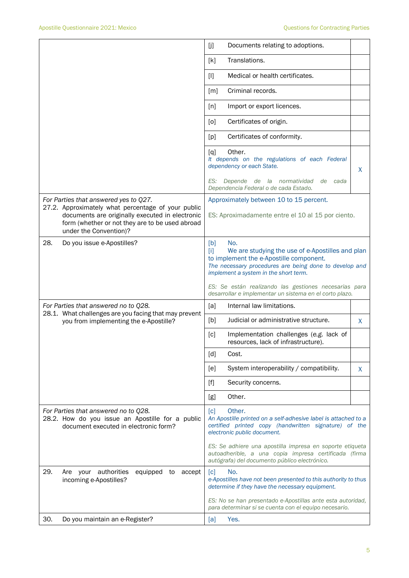|                                                                                                                                                                                    | []<br>Documents relating to adoptions.                                                                                                                                                                                            |  |  |  |  |
|------------------------------------------------------------------------------------------------------------------------------------------------------------------------------------|-----------------------------------------------------------------------------------------------------------------------------------------------------------------------------------------------------------------------------------|--|--|--|--|
|                                                                                                                                                                                    | Translations.<br>[k]                                                                                                                                                                                                              |  |  |  |  |
|                                                                                                                                                                                    | Medical or health certificates.<br>$[1]$                                                                                                                                                                                          |  |  |  |  |
|                                                                                                                                                                                    | Criminal records.<br>[m]                                                                                                                                                                                                          |  |  |  |  |
|                                                                                                                                                                                    | Import or export licences.<br>[n]                                                                                                                                                                                                 |  |  |  |  |
|                                                                                                                                                                                    | Certificates of origin.<br>[0]                                                                                                                                                                                                    |  |  |  |  |
|                                                                                                                                                                                    | Certificates of conformity.<br>[p]                                                                                                                                                                                                |  |  |  |  |
|                                                                                                                                                                                    | Other.<br>[q]<br>It depends on the regulations of each Federal<br>dependency or each State.<br>X                                                                                                                                  |  |  |  |  |
|                                                                                                                                                                                    | ES:<br>Depende de la normatividad<br>de<br>cada<br>Dependencia Federal o de cada Estado.                                                                                                                                          |  |  |  |  |
| For Parties that answered yes to Q27.                                                                                                                                              | Approximately between 10 to 15 percent.                                                                                                                                                                                           |  |  |  |  |
| 27.2. Approximately what percentage of your public<br>documents are originally executed in electronic<br>form (whether or not they are to be used abroad<br>under the Convention)? | ES: Aproximadamente entre el 10 al 15 por ciento.                                                                                                                                                                                 |  |  |  |  |
| 28.<br>Do you issue e-Apostilles?                                                                                                                                                  | [b]<br>No.<br>$\lceil i \rceil$<br>We are studying the use of e-Apostilles and plan<br>to implement the e-Apostille component.<br>The necessary procedures are being done to develop and<br>implement a system in the short term. |  |  |  |  |
|                                                                                                                                                                                    | ES: Se están realizando las gestiones necesarias para<br>desarrollar e implementar un sistema en el corto plazo.                                                                                                                  |  |  |  |  |
| For Parties that answered no to Q28.<br>28.1. What challenges are you facing that may prevent                                                                                      | Internal law limitations.<br>[a]                                                                                                                                                                                                  |  |  |  |  |
| you from implementing the e-Apostille?                                                                                                                                             | [b]<br>Judicial or administrative structure.<br>X.                                                                                                                                                                                |  |  |  |  |
|                                                                                                                                                                                    | Implementation challenges (e.g. lack of<br>[c]<br>resources, lack of infrastructure).                                                                                                                                             |  |  |  |  |
|                                                                                                                                                                                    | [d]<br>Cost.                                                                                                                                                                                                                      |  |  |  |  |
|                                                                                                                                                                                    | System interoperability / compatibility.<br>[e]<br>X                                                                                                                                                                              |  |  |  |  |
|                                                                                                                                                                                    | Security concerns.<br>$[f]$                                                                                                                                                                                                       |  |  |  |  |
|                                                                                                                                                                                    | Other.<br>[g]                                                                                                                                                                                                                     |  |  |  |  |
| For Parties that answered no to Q28.<br>28.2. How do you issue an Apostille for a public<br>document executed in electronic form?                                                  | Other.<br>[c]<br>An Apostille printed on a self-adhesive label is attached to a<br>certified printed copy (handwritten signature) of the<br>electronic public document.                                                           |  |  |  |  |
|                                                                                                                                                                                    | ES: Se adhiere una apostilla impresa en soporte etiqueta<br>autoadherible, a una copia impresa certificada (firma<br>autógrafa) del documento público electrónico.                                                                |  |  |  |  |
| 29.<br>authorities<br>Are your<br>equipped<br>to<br>accept<br>incoming e-Apostilles?                                                                                               | $\lceil c \rceil$<br>No.<br>e-Apostilles have not been presented to this authority to thus<br>determine if they have the necessary equipment.                                                                                     |  |  |  |  |
|                                                                                                                                                                                    |                                                                                                                                                                                                                                   |  |  |  |  |
|                                                                                                                                                                                    | ES: No se han presentado e-Apostillas ante esta autoridad,<br>para determinar si se cuenta con el equipo necesario.                                                                                                               |  |  |  |  |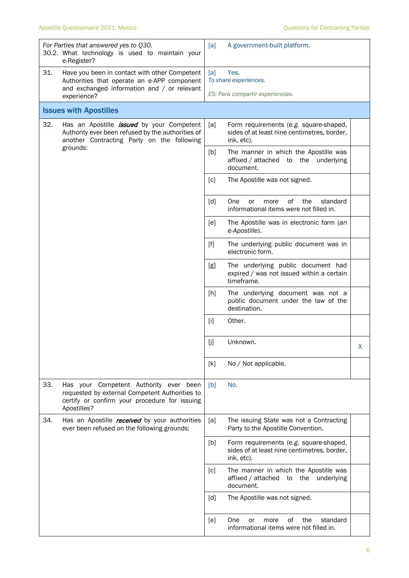|     | For Parties that answered yes to Q30.<br>30.2. What technology is used to maintain your<br>e-Register?                                                          | [a]                                  | A government-built platform.                                                          |   |
|-----|-----------------------------------------------------------------------------------------------------------------------------------------------------------------|--------------------------------------|---------------------------------------------------------------------------------------|---|
| 31. | Have you been in contact with other Competent<br>Authorities that operate an e-APP component<br>and exchanged information and / or relevant<br>experience?      | Yes.<br>[a]<br>To share experiences. |                                                                                       |   |
|     |                                                                                                                                                                 |                                      | ES: Para compartir experiencias.                                                      |   |
|     | <b>Issues with Apostilles</b>                                                                                                                                   |                                      |                                                                                       |   |
| 32. | Has an Apostille <i>issued</i> by your Competent<br>Authority ever been refused by the authorities of<br>another Contracting Party on the following<br>grounds: | [a]<br>ink, etc).                    | Form requirements (e.g. square-shaped,<br>sides of at least nine centimetres, border, |   |
|     |                                                                                                                                                                 | [b]<br>document.                     | The manner in which the Apostille was<br>affixed / attached to the<br>underlying      |   |
|     |                                                                                                                                                                 | [c]                                  | The Apostille was not signed.                                                         |   |
|     |                                                                                                                                                                 | [d]<br><b>One</b>                    | οf<br>the<br>standard<br><b>or</b><br>more<br>informational items were not filled in. |   |
|     |                                                                                                                                                                 | [e]<br>e-Apostille).                 | The Apostille was in electronic form (an                                              |   |
|     |                                                                                                                                                                 | $[f]$<br>electronic form.            | The underlying public document was in                                                 |   |
|     |                                                                                                                                                                 | [g]<br>timeframe.                    | The underlying public document had<br>expired / was not issued within a certain       |   |
|     |                                                                                                                                                                 | [h]<br>destination.                  | The underlying document was not a<br>public document under the law of the             |   |
|     |                                                                                                                                                                 | Other.<br>$[1]$                      |                                                                                       |   |
|     |                                                                                                                                                                 | [j]<br>Unknown.                      |                                                                                       | х |
|     |                                                                                                                                                                 | [k]                                  | No / Not applicable.                                                                  |   |
| 33. | Has your Competent Authority ever been<br>requested by external Competent Authorities to<br>certify or confirm your procedure for issuing<br>Apostilles?        | No.<br>[b]                           |                                                                                       |   |
| 34. | Has an Apostille received by your authorities<br>ever been refused on the following grounds:                                                                    | [a]                                  | The issuing State was not a Contracting<br>Party to the Apostille Convention.         |   |
|     |                                                                                                                                                                 | [b]<br>ink, etc).                    | Form requirements (e.g. square-shaped,<br>sides of at least nine centimetres, border, |   |
|     |                                                                                                                                                                 | [c]<br>document.                     | The manner in which the Apostille was<br>affixed / attached to<br>the<br>underlying   |   |
|     |                                                                                                                                                                 | [d]                                  | The Apostille was not signed.                                                         |   |
|     |                                                                                                                                                                 | [e]<br><b>One</b>                    | 0f<br>the<br>standard<br>more<br>or<br>informational items were not filled in.        |   |